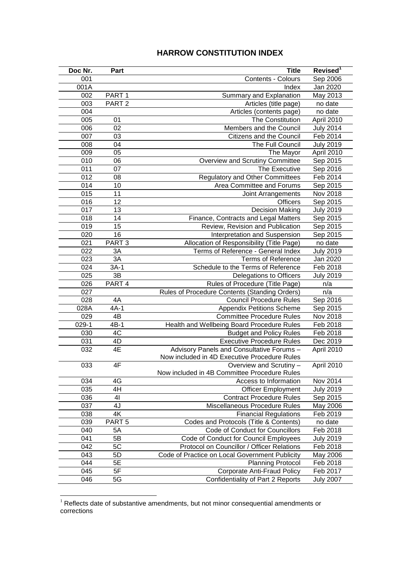## **HARROW CONSTITUTION INDEX**

| Doc Nr.    | Part              | <b>Title</b>                                                              | Revised <sup>1</sup> |
|------------|-------------------|---------------------------------------------------------------------------|----------------------|
| 001        |                   | Contents - Colours                                                        | Sep 2006             |
| 001A       |                   | Index                                                                     | Jan 2020             |
| 002        | PART <sub>1</sub> | Summary and Explanation                                                   | May 2013             |
| 003        | PART <sub>2</sub> | Articles (title page)                                                     | no date              |
| 004        |                   | Articles (contents page)                                                  | no date              |
| 005        | 01                | The Constitution                                                          | April 2010           |
| 006        | 02                | Members and the Council                                                   | <b>July 2014</b>     |
| 007        | 03                | Citizens and the Council                                                  | Feb 2014             |
| 008        | 04                | The Full Council                                                          | <b>July 2019</b>     |
| 009        | 05                | The Mayor                                                                 | April 2010           |
| 010        | 06                | Overview and Scrutiny Committee                                           | Sep 2015             |
| 011        | 07                | The Executive                                                             | Sep 2016             |
| 012        | 08                | <b>Regulatory and Other Committees</b>                                    | Feb 2014             |
| 014        | 10                | Area Committee and Forums                                                 | Sep 2015             |
| 015        | 11                | Joint Arrangements                                                        | Nov 2018             |
| 016        | 12                | <b>Officers</b>                                                           | Sep 2015             |
| 017        | 13                | <b>Decision Making</b>                                                    | <b>July 2019</b>     |
| 018        | 14                | Finance, Contracts and Legal Matters                                      | Sep 2015             |
| 019        | 15                | Review, Revision and Publication                                          | Sep 2015             |
| 020        | 16                | Interpretation and Suspension                                             | Sep 2015             |
| 021        | PART <sub>3</sub> | Allocation of Responsibility (Title Page)                                 | no date              |
| 022        | 3A                | Terms of Reference - General Index                                        | <b>July 2019</b>     |
| 023        | 3A                | <b>Terms of Reference</b>                                                 | Jan 2020             |
| 024        | $3A-1$            | Schedule to the Terms of Reference                                        | Feb 2018             |
| 025        | 3B                | Delegations to Officers                                                   | <b>July 2019</b>     |
| 026        | PART 4            | Rules of Procedure (Title Page)                                           | n/a                  |
| 027        |                   | Rules of Procedure Contents (Standing Orders)                             | n/a                  |
| 028        | 4A                | <b>Council Procedure Rules</b>                                            | Sep 2016             |
| 028A       | $4A-1$            | <b>Appendix Petitions Scheme</b>                                          | Sep 2015             |
| 029        | $4\overline{B}$   | <b>Committee Procedure Rules</b>                                          | Nov 2018             |
| $029-1$    | $4B-1$            | Health and Wellbeing Board Procedure Rules                                | Feb 2018             |
| 030        | 4C                | <b>Budget and Policy Rules</b>                                            | Feb 2018             |
| 031        | 4D                | <b>Executive Procedure Rules</b>                                          | Dec 2019             |
| 032        | 4E                | Advisory Panels and Consultative Forums -                                 | April 2010           |
|            |                   | Now included in 4D Executive Procedure Rules                              |                      |
| 033        | 4F                | Overview and Scrutiny -                                                   | April 2010           |
|            |                   | Now included in 4B Committee Procedure Rules                              |                      |
| 034        | 4G                | Access to Information                                                     | Nov 2014             |
| 035        | 4H                | <b>Officer Employment</b>                                                 | <b>July 2019</b>     |
| 036        | 41<br>4J          | <b>Contract Procedure Rules</b>                                           | Sep 2015             |
| 037        | 4K                | Miscellaneous Procedure Rules                                             | May 2006<br>Feb 2019 |
| 038        |                   | <b>Financial Regulations</b>                                              |                      |
| 039        | PART <sub>5</sub> | Codes and Protocols (Title & Contents)<br>Code of Conduct for Councillors | no date              |
| 040<br>041 | 5A<br>5B          | Code of Conduct for Council Employees                                     | Feb 2018             |
| 042        | 5C                | Protocol on Councillor / Officer Relations                                | <b>July 2019</b>     |
| 043        |                   | Code of Practice on Local Government Publicity                            | Feb 2018             |
| 044        | 5D<br>5E          |                                                                           | May 2006             |
| 045        | 5F                | <b>Planning Protocol</b>                                                  | Feb 2018             |
| 046        | 5G                | <b>Corporate Anti-Fraud Policy</b><br>Confidentiality of Part 2 Reports   | Feb 2017             |
|            |                   |                                                                           | <b>July 2007</b>     |

 Reflects date of substantive amendments, but not minor consequential amendments or corrections

<u>.</u>